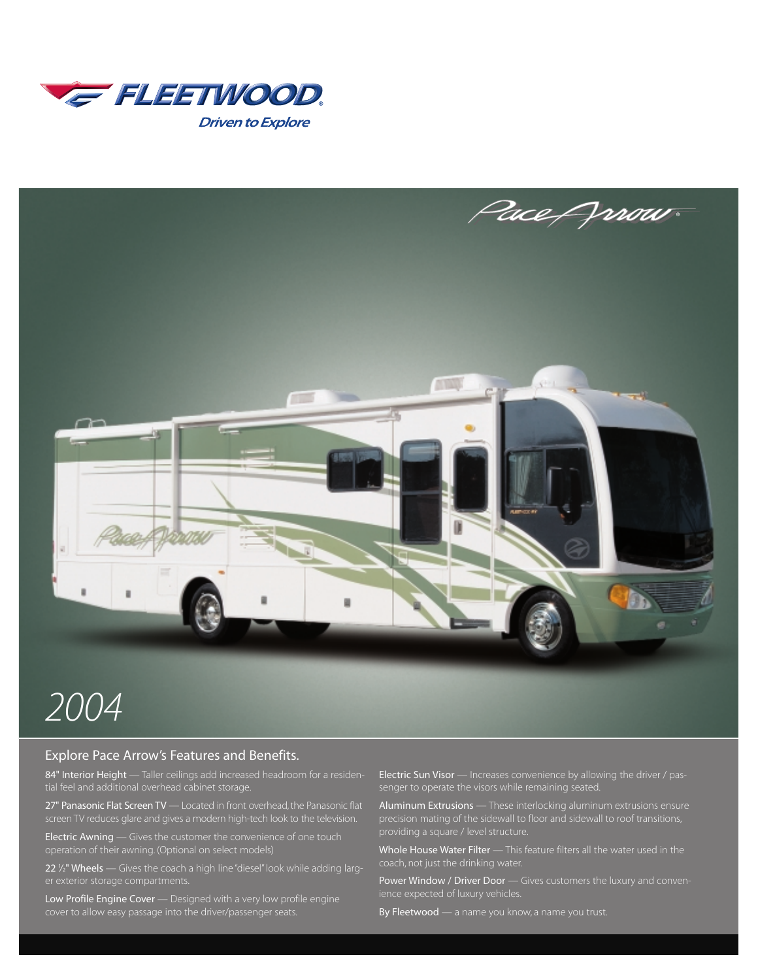



# *2004*

# Explore Pace Arrow's Features and Benefits.

84" Interior Height - Taller ceilings add increased headroom for a residential feel and additional overhead cabinet storage.

27" Panasonic Flat Screen TV — Located in front overhead, the Panasonic flat

Electric Awning — Gives the customer the convenience of one touch

22 1 */*2" Wheels — Gives the coach a high line "diesel" look while adding larg-

Low Profile Engine Cover - Designed with a very low profile engine cover to allow easy passage into the driver/passenger seats.

Electric Sun Visor — Increases convenience by allowing the driver / pas-

Aluminum Extrusions — These interlocking aluminum extrusions ensure

Whole House Water Filter - This feature filters all the water used in the

Power Window / Driver Door — Gives customers the luxury and conven-

By Fleetwood — a name you know, a name you trust.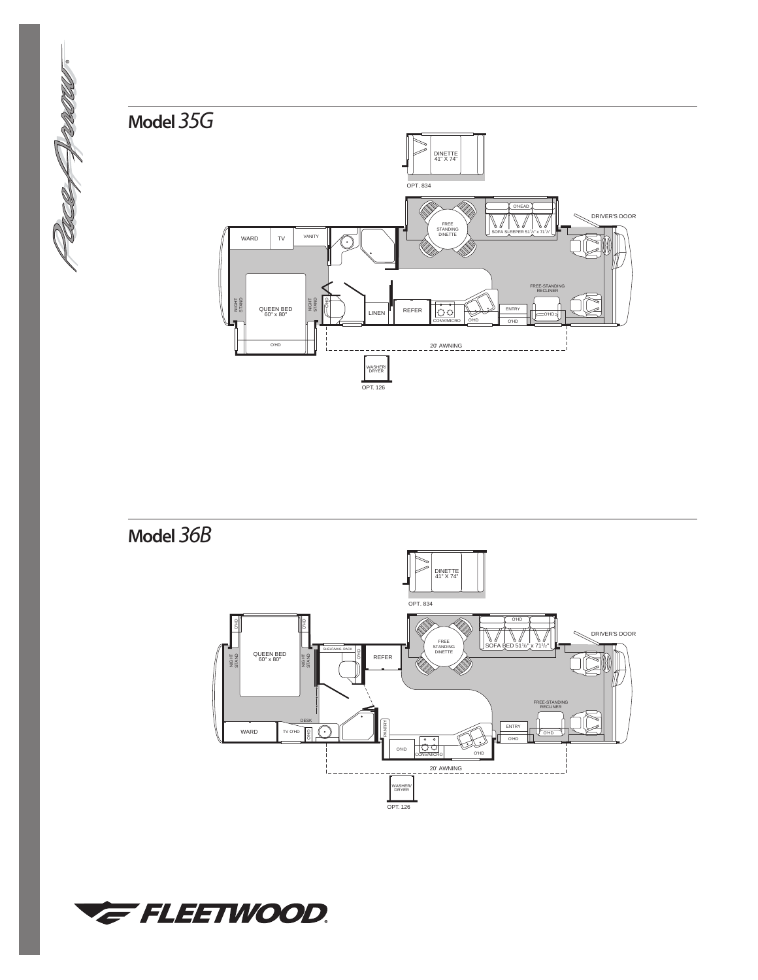



**Model** *36B*



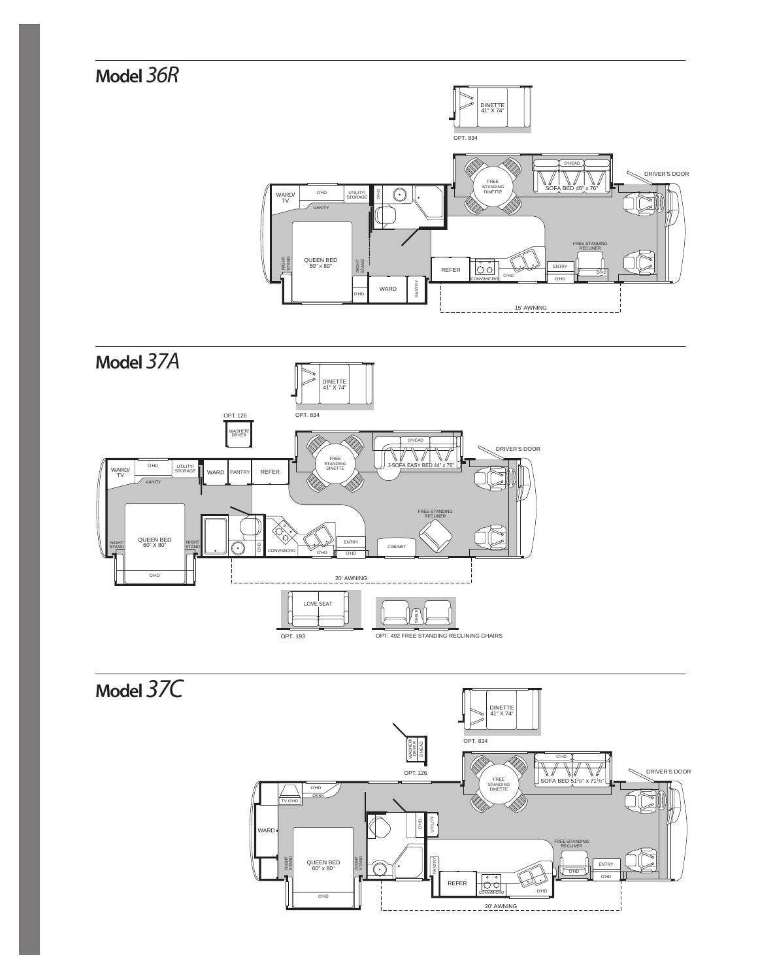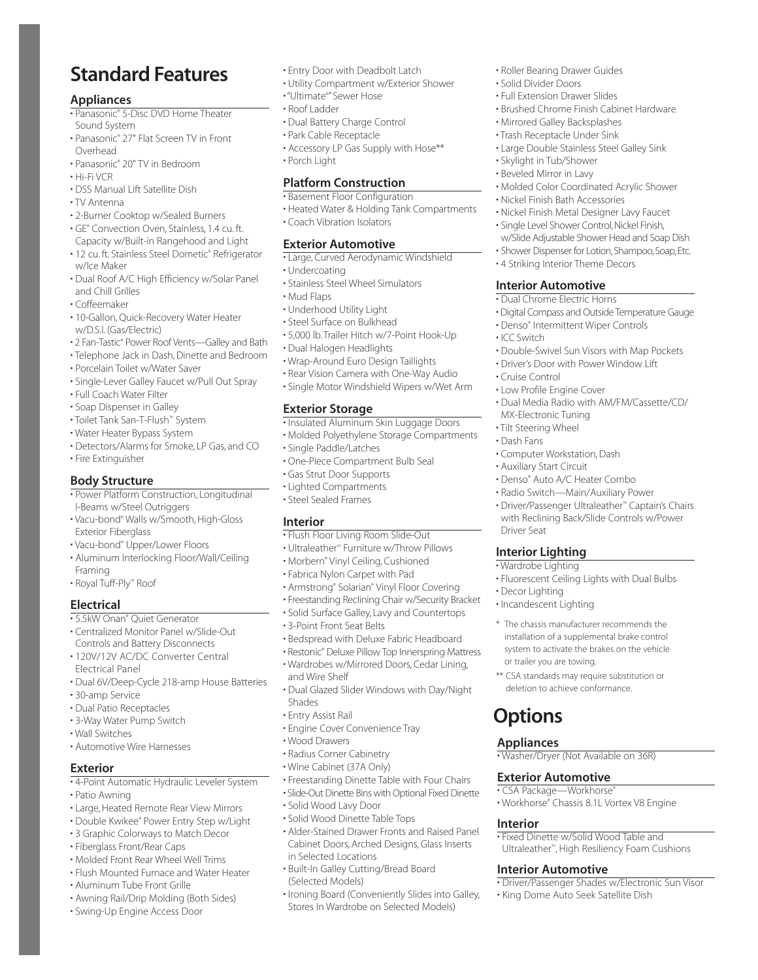# **Standard Features**

#### **Appliances**

- Panasonic® 5-Disc DVD Home Theater Sound System
- Panasonic® 27" Flat Screen TV in Front Overhead
- Panasonic® 20" TV in Bedroom
- Hi-Fi VCR
- DSS Manual Lift Satellite Dish
- TV Antenna
- 2-Burner Cooktop w/Sealed Burners
- GE® Convection Oven, Stainless, 1.4 cu. ft. Capacity w/Built-in Rangehood and Light
- 12 cu. ft. Stainless Steel Dometic® Refrigerator w/Ice Maker
- Dual Roof A/C High Efficiency w/Solar Panel and Chill Grilles
- Coffeemaker
- 10-Gallon, Quick-Recovery Water Heater w/D.S.I. (Gas/Electric)
- 2 Fan-Tastic® Power Roof Vents—Galley and Bath
- Telephone Jack in Dash, Dinette and Bedroom
- Porcelain Toilet w/Water Saver
- Single-Lever Galley Faucet w/Pull Out Spray
- Full Coach Water Filter
- Soap Dispenser in Galley
- Toilet Tank San-T-Flush™ System
- Water Heater Bypass System
- Detectors/Alarms for Smoke, LP Gas, and CO
- Fire Extinguisher

#### **Body Structure**

- Power Platform Construction, Longitudinal I-Beams w/Steel Outriggers
- Vacu-bond® Walls w/Smooth, High-Gloss Exterior Fiberglass
- Vacu-bond® Upper/Lower Floors
- Aluminum Interlocking Floor/Wall/Ceiling Framing
- Royal Tuff-Ply™ Roof

### **Electrical**

- 5.5kW Onan® Quiet Generator
- Centralized Monitor Panel w/Slide-Out Controls and Battery Disconnects
- 120V/12V AC/DC Converter Central Electrical Panel
- Dual 6V/Deep-Cycle 218-amp House Batteries
- 30-amp Service
- Dual Patio Receptacles
- 3-Way Water Pump Switch
- Wall Switches
- Automotive Wire Harnesses

#### **Exterior**

- 4-Point Automatic Hydraulic Leveler System
- Patio Awning
- Large, Heated Remote Rear View Mirrors
- Double Kwikee® Power Entry Step w/Light
- 3 Graphic Colorways to Match Decor
- Fiberglass Front/Rear Caps
- Molded Front Rear Wheel Well Trims
- Flush Mounted Furnace and Water Heater
- Aluminum Tube Front Grille
- Awning Rail/Drip Molding (Both Sides)
- Swing-Up Engine Access Door
- Entry Door with Deadbolt Latch
- Utility Compartment w/Exterior Shower
- "Ultimate® " Sewer Hose
- Roof Ladder
- Dual Battery Charge Control
- Park Cable Receptacle
- Accessory LP Gas Supply with Hose\*\* • Porch Light

#### **Platform Construction**

- Basement Floor Configuration
- Heated Water & Holding Tank Compartments
- Coach Vibration Isolators

#### **Exterior Automotive**

- Large, Curved Aerodynamic Windshield
- Undercoating
- Stainless Steel Wheel Simulators
- Mud Flaps
- Underhood Utility Light
- Steel Surface on Bulkhead
- 5,000 lb.Trailer Hitch w/7-Point Hook-Up
- Dual Halogen Headlights
- Wrap-Around Euro Design Taillights
- Rear Vision Camera with One-Way Audio
- Single Motor Windshield Wipers w/Wet Arm

#### **Exterior Storage**

- Insulated Aluminum Skin Luggage Doors
- Molded Polyethylene Storage Compartments
- Single Paddle/Latches
- One-Piece Compartment Bulb Seal
- Gas Strut Door Supports
- Lighted Compartments
- Steel Sealed Frames

#### **Interior**

- Flush Floor Living Room Slide-Out
- Ultraleather™ Furniture w/Throw Pillows
- Morbern® Vinyl Ceiling, Cushioned
- Fabrica Nylon Carpet with Pad
- Armstrong® Solarian® Vinyl Floor Covering
- Freestanding Reclining Chair w/Security Bracket
- Solid Surface Galley, Lavy and Countertops
- 3-Point Front Seat Belts
- Bedspread with Deluxe Fabric Headboard
- Restonic® Deluxe Pillow Top Innerspring Mattress • Wardrobes w/Mirrored Doors, Cedar Lining,
- and Wire Shelf • Dual Glazed Slider Windows with Day/Night
- Shades

• Freestanding Dinette Table with Four Chairs • Slide-Out Dinette Bins with Optional Fixed Dinette

• Alder-Stained Drawer Fronts and Raised Panel Cabinet Doors, Arched Designs, Glass Inserts

• Ironing Board (Conveniently Slides into Galley, Stores In Wardrobe on Selected Models)

• Built-In Galley Cutting/Bread Board

**Options**

**Appliances**

**Interior**

• Washer/Dryer (Not Available on 36R)

• Workhorse® Chassis 8.1L Vortex V8 Engine

• Fixed Dinette w/Solid Wood Table and Ultraleather™, High Resiliency Foam Cushions

• King Dome Auto Seek Satellite Dish

• Driver/Passenger Shades w/Electronic Sun Visor

**Exterior Automotive** • CSA Package—Workhorse®

or trailer you are towing.

• Roller Bearing Drawer Guides • Solid Divider Doors • Full Extension Drawer Slides

• Mirrored Galley Backsplashes • Trash Receptacle Under Sink

• Nickel Finish Bath Accessories

• 4 Striking Interior Theme Decors

• Denso® Intermittent Wiper Controls

**Interior Automotive** • Dual Chrome Electric Horns

• Low Profile Engine Cover

• Computer Workstation, Dash • Auxiliary Start Circuit

• Denso® Auto A/C Heater Combo • Radio Switch—Main/Auxiliary Power • Driver/Passenger Ultraleather™ Captain's Chairs with Reclining Back/Slide Controls w/Power

• Fluorescent Ceiling Lights with Dual Bulbs

\* The chassis manufacturer recommends the installation of a supplemental brake control system to activate the brakes on the vehicle

\*\* CSA standards may require substitution or deletion to achieve conformance.

MX-Electronic Tuning • Tilt Steering Wheel • Dash Fans

• ICC Switch

• Cruise Control

Driver Seat

• Decor Lighting • Incandescent Lighting

**Interior Lighting** • Wardrobe Lighting

• Skylight in Tub/Shower • Beveled Mirror in Lavy

• Brushed Chrome Finish Cabinet Hardware

• Large Double Stainless Steel Galley Sink

• Molded Color Coordinated Acrylic Shower

• Nickel Finish Metal Designer Lavy Faucet • Single Level Shower Control, Nickel Finish, w/Slide Adjustable Shower Head and Soap Dish • Shower Dispenser for Lotion, Shampoo, Soap, Etc.

• Digital Compass and Outside Temperature Gauge

• Double-Swivel Sun Visors with Map Pockets • Driver's Door with Power Window Lift

• Dual Media Radio with AM/FM/Cassette/CD/

**Interior Automotive**

- Entry Assist Rail
- Engine Cover Convenience Tray
- Wood Drawers
- Radius Corner Cabinetry • Wine Cabinet (37A Only)

• Solid Wood Lavy Door • Solid Wood Dinette Table Tops

in Selected Locations

(Selected Models)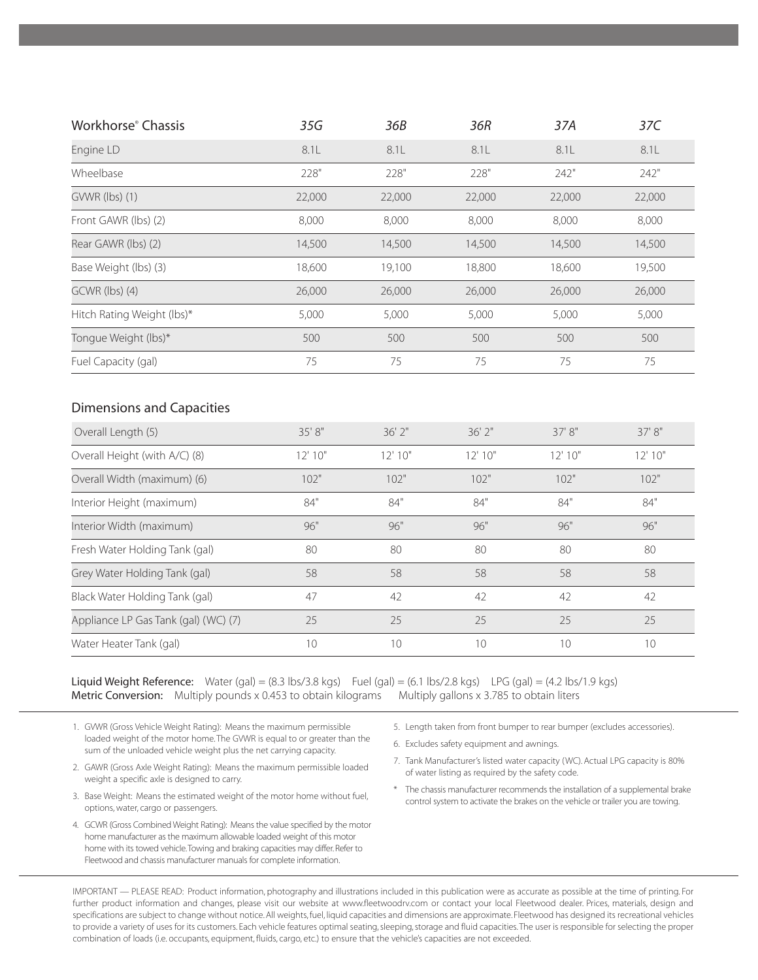| Workhorse® Chassis                                     | 35G     | 36B         | 36R         | 37A     | 37C     |
|--------------------------------------------------------|---------|-------------|-------------|---------|---------|
| Engine LD                                              | 8.1L    | 8.1L        | 8.1L        | 8.1L    | 8.1L    |
| Wheelbase                                              | 228"    | 228"        | 228"        | 242"    | 242"    |
| GVWR (lbs) (1)                                         | 22,000  | 22,000      | 22,000      | 22,000  | 22,000  |
| Front GAWR (lbs) (2)                                   | 8,000   | 8,000       | 8,000       | 8,000   | 8,000   |
| Rear GAWR (lbs) (2)                                    | 14,500  | 14,500      | 14,500      | 14,500  | 14,500  |
| Base Weight (lbs) (3)                                  | 18,600  | 19,100      | 18,800      | 18,600  | 19,500  |
| GCWR (lbs) (4)                                         | 26,000  | 26,000      | 26,000      | 26,000  | 26,000  |
| Hitch Rating Weight (lbs)*                             | 5,000   | 5,000       | 5,000       | 5,000   | 5,000   |
| Tongue Weight (lbs)*                                   | 500     | 500         | 500         | 500     | 500     |
| Fuel Capacity (gal)                                    | 75      | 75          | 75          | 75      | 75      |
| <b>Dimensions and Capacities</b><br>Overall Length (5) | 35' 8"  | $36'$ $2''$ | $36'$ $2''$ | 37' 8"  | 37' 8"  |
| Overall Height (with A/C) (8)                          | 12' 10" | 12' 10''    | 12' 10"     | 12' 10" | 12'10'' |
| Overall Width (maximum) (6)                            | 102"    | 102"        | 102"        | 102"    | 102"    |
| Interior Height (maximum)                              | 84"     | 84"         | 84"         | 84"     | 84"     |
| Interior Width (maximum)                               | 96"     | 96"         | 96"         | 96"     | 96"     |
| Fresh Water Holding Tank (gal)                         | 80      | 80          | 80          | 80      | 80      |
| Grey Water Holding Tank (gal)                          | 58      | 58          | 58          | 58      | 58      |
| Black Water Holding Tank (gal)                         | 47      | 42          | 42          | 42      | 42      |
| Appliance LP Gas Tank (gal) (WC) (7)                   | 25      | 25          | 25          | 25      | 25      |
| Water Heater Tank (gal)                                | 10      | 10          | 10          | 10      | 10      |

**Liquid Weight Reference:** Water (gal) =  $(8.3 \text{ lbs}/3.8 \text{ kgs})$  Fuel  $\text{(gal)} = \text{(6.1 lbs}/2.8 \text{ kgs})$  LPG  $\text{(gal)} = \text{(4.2 lbs}/1.9 \text{ kgs})$ Metric Conversion: Multiply pounds x 0.453 to obtain kilograms Multiply gallons x 3.785 to obtain liters

1. GVWR (Gross Vehicle Weight Rating): Means the maximum permissible loaded weight of the motor home. The GVWR is equal to or greater than the sum of the unloaded vehicle weight plus the net carrying capacity.

- 2. GAWR (Gross Axle Weight Rating): Means the maximum permissible loaded weight a specific axle is designed to carry.
- 3. Base Weight: Means the estimated weight of the motor home without fuel, options, water, cargo or passengers.
- 4. GCWR (Gross Combined Weight Rating): Means the value specified by the motor home manufacturer as the maximum allowable loaded weight of this motor home with its towed vehicle.Towing and braking capacities may differ. Refer to Fleetwood and chassis manufacturer manuals for complete information.
- 5. Length taken from front bumper to rear bumper (excludes accessories).
- 6. Excludes safety equipment and awnings.
- 7. Tank Manufacturer's listed water capacity (WC). Actual LPG capacity is 80% of water listing as required by the safety code.
- \* The chassis manufacturer recommends the installation of a supplemental brake control system to activate the brakes on the vehicle or trailer you are towing.

IMPORTANT — PLEASE READ: Product information, photography and illustrations included in this publication were as accurate as possible at the time of printing. For further product information and changes, please visit our website at www.fleetwoodrv.com or contact your local Fleetwood dealer. Prices, materials, design and specifications are subject to change without notice. All weights, fuel, liquid capacities and dimensions are approximate. Fleetwood has designed its recreational vehicles to provide a variety of uses for its customers. Each vehicle features optimal seating, sleeping, storage and fluid capacities.The user is responsible for selecting the proper combination of loads (i.e. occupants, equipment, fluids, cargo, etc.) to ensure that the vehicle's capacities are not exceeded.